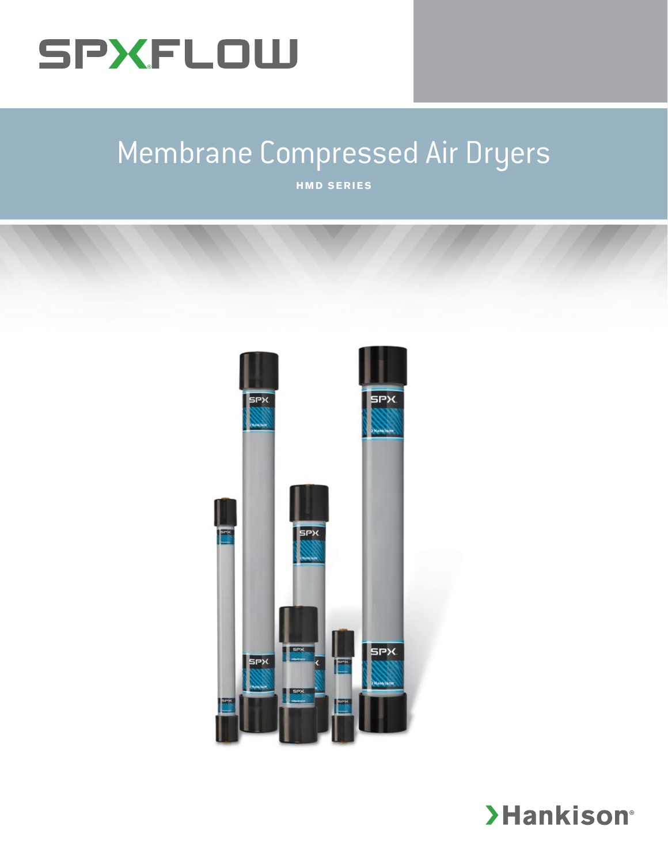

# Membrane Compressed Air Dryers

**HMD SERIES**



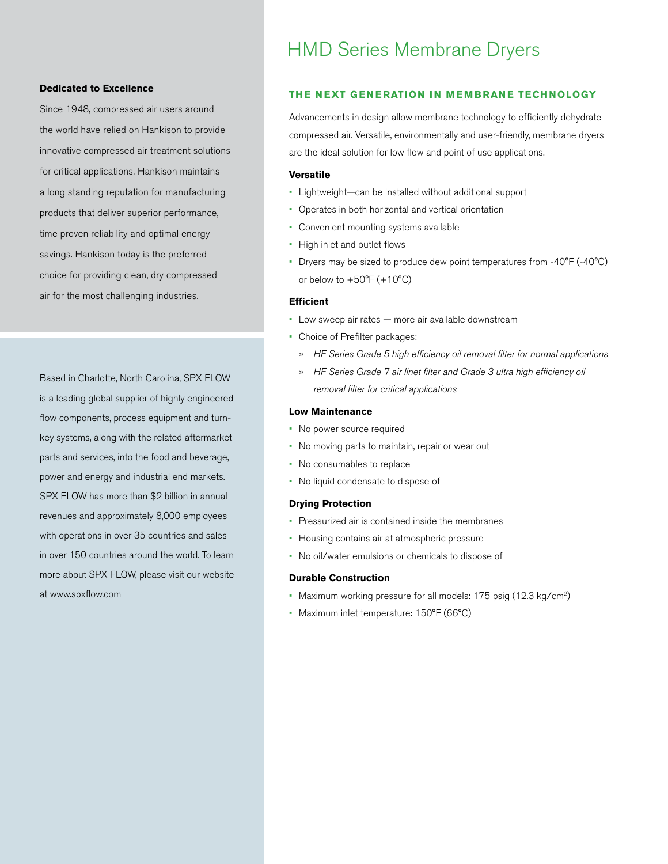### **Dedicated to Excellence**

Since 1948, compressed air users around the world have relied on Hankison to provide innovative compressed air treatment solutions for critical applications. Hankison maintains a long standing reputation for manufacturing products that deliver superior performance, time proven reliability and optimal energy savings. Hankison today is the preferred choice for providing clean, dry compressed air for the most challenging industries.

Based in Charlotte, North Carolina, SPX FLOW is a leading global supplier of highly engineered flow components, process equipment and turnkey systems, along with the related aftermarket parts and services, into the food and beverage, power and energy and industrial end markets. SPX FLOW has more than \$2 billion in annual revenues and approximately 8,000 employees with operations in over 35 countries and sales in over 150 countries around the world. To learn more about SPX FLOW, please visit our website at www.spxflow.com

## HMD Series Membrane Dryers

### **THE NEXT GENERATION IN MEMBRANE TECHNOLOGY**

Advancements in design allow membrane technology to efficiently dehydrate compressed air. Versatile, environmentally and user-friendly, membrane dryers are the ideal solution for low flow and point of use applications.

### **Versatile**

- Lightweight—can be installed without additional support
- Operates in both horizontal and vertical orientation
- Convenient mounting systems available
- High inlet and outlet flows
- Dryers may be sized to produce dew point temperatures from -40°F (-40°C) or below to  $+50^{\circ}$ F ( $+10^{\circ}$ C)

### **Efficient**

- Low sweep air rates more air available downstream
- Choice of Prefilter packages:
	- » *HF Series Grade 5 high efficiency oil removal filter for normal applications*
	- » *HF Series Grade 7 air linet filter and Grade 3 ultra high efficiency oil removal filter for critical applications*

### **Low Maintenance**

- No power source required
- No moving parts to maintain, repair or wear out
- No consumables to replace
- No liquid condensate to dispose of

### **Drying Protection**

- Pressurized air is contained inside the membranes
- Housing contains air at atmospheric pressure
- No oil/water emulsions or chemicals to dispose of

### **Durable Construction**

- Maximum working pressure for all models: 175 psig (12.3 kg/cm2)
- Maximum inlet temperature: 150°F (66°C)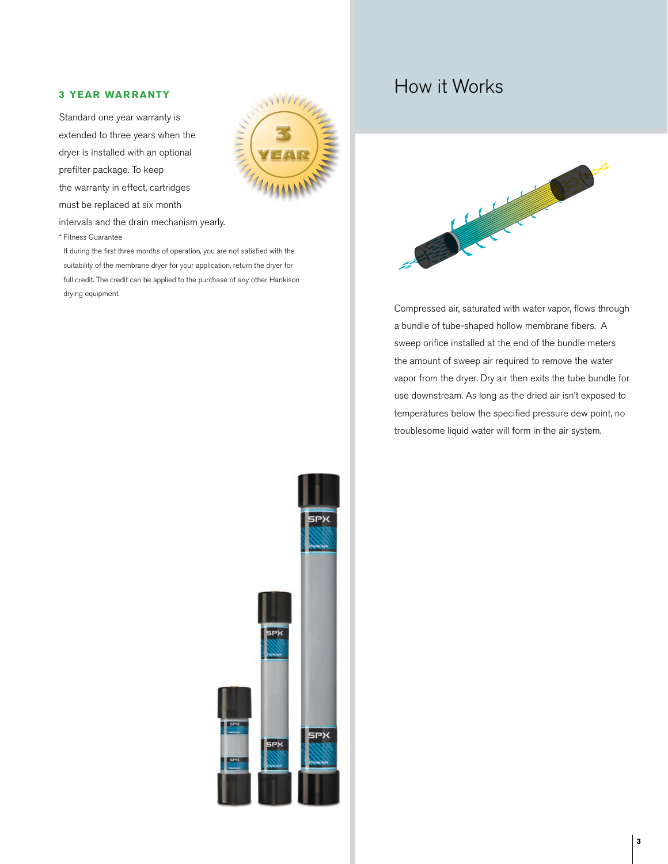### **3 YEAR WARRANTY**

Standard one year warranty is extended to three years when the dryer is installed with an optional prefilter package. To keep the warranty in effect, cartridges must be replaced at six month



intervals and the drain mechanism yearly.

\* Fitness Guarantee

If during the first three months of operation, you are not satisfied with the suitability of the membrane dryer for your application, return the dryer for full credit. The credit can be applied to the purchase of any other Hankison drying equipment.

# How it Works



Compressed air, saturated with water vapor, flows through a bundle of tube-shaped hollow membrane fibers. A sweep orifice installed at the end of the bundle meters the amount of sweep air required to remove the water vapor from the dryer. Dry air then exits the tube bundle for use downstream. As long as the dried air isn't exposed to temperatures below the specified pressure dew point, no troublesome liquid water will form in the air system.

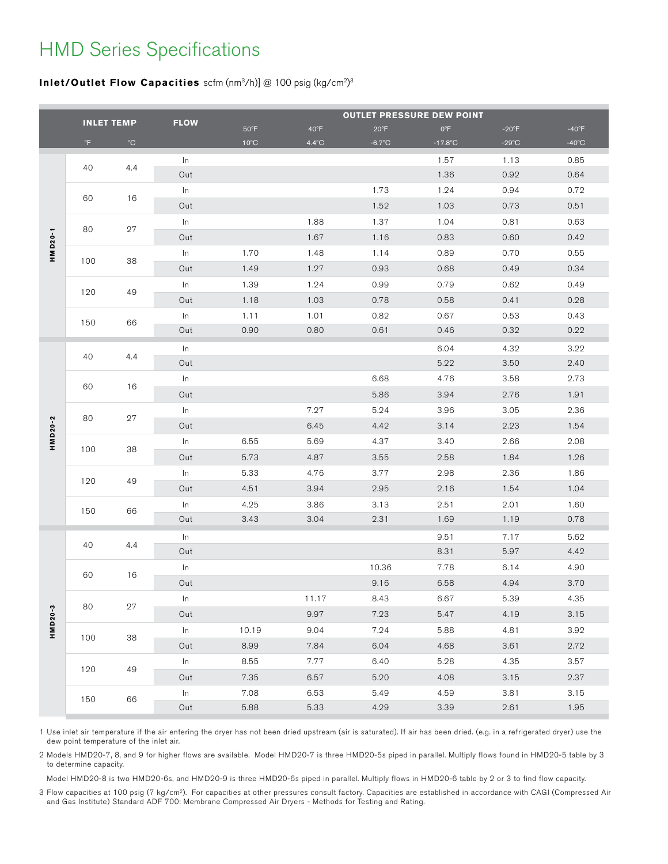# HMD Series Specifications

### **Inlet/Outlet Flow Capacities** scfm (nm<sup>3</sup>/h)] @ 100 psig (kg/cm<sup>2)3</sup>

|         |                   |              |             |                | <b>OUTLET PRESSURE DEW POINT</b> |                  |              |                 |                 |
|---------|-------------------|--------------|-------------|----------------|----------------------------------|------------------|--------------|-----------------|-----------------|
|         | <b>INLET TEMP</b> |              | <b>FLOW</b> | $50^{\circ}$ F | $40^{\circ}F$                    | $20^{\circ}F$    | $0^{\circ}F$ | $-20^{\circ}F$  | $-40^{\circ}F$  |
|         | $^{\circ}$ F      | $^{\circ}$ C |             | $10^{\circ}$ C | $4.4^{\circ}$ C                  | $-6.7^{\circ}$ C | $-17.8$ °C   | $-29^{\circ}$ C | $-40^{\circ}$ C |
|         |                   |              | In          |                |                                  |                  | 1.57         | 1.13            | 0.85            |
|         | 40                | 4.4          | Out         |                |                                  |                  | 1.36         | 0.92            | 0.64            |
|         |                   |              | In          |                |                                  | 1.73             | 1.24         | 0.94            | 0.72            |
|         | 60                | 16           | Out         |                |                                  | 1.52             | 1.03         | 0.73            | 0.51            |
|         |                   | 27           | In          |                | 1.88                             | 1.37             | 1.04         | 0.81            | 0.63            |
|         | 80                |              | Out         |                | 1.67                             | 1.16             | 0.83         | 0.60            | 0.42            |
| HMD20-1 |                   |              | In          | 1.70           | 1.48                             | 1.14             | 0.89         | 0.70            | 0.55            |
|         | 100               | 38           | Out         | 1.49           | 1.27                             | 0.93             | 0.68         | 0.49            | 0.34            |
|         |                   |              | In          | 1.39           | 1.24                             | 0.99             | 0.79         | 0.62            | 0.49            |
|         | 120               | 49           | Out         | 1.18           | 1.03                             | 0.78             | 0.58         | 0.41            | 0.28            |
|         |                   |              | In          | 1.11           | 1.01                             | 0.82             | 0.67         | 0.53            | 0.43            |
|         | 150               | 66           | Out         | 0.90           | 0.80                             | 0.61             | 0.46         | 0.32            | 0.22            |
|         |                   |              | In          |                |                                  |                  | 6.04         | 4.32            | 3.22            |
|         | 40                | 4.4          | Out         |                |                                  |                  | 5.22         | 3.50            | 2.40            |
|         |                   | 16           | In          |                |                                  | 6.68             | 4.76         | 3.58            | 2.73            |
|         | 60                |              | Out         |                |                                  | 5.86             | 3.94         | 2.76            | 1.91            |
|         |                   | 27           | In          |                | 7.27                             | 5.24             | 3.96         | 3.05            | 2.36            |
|         | 80                |              | Out         |                | 6.45                             | 4.42             | 3.14         | 2.23            | 1.54            |
| HMD20-2 |                   |              | In          | 6.55           | 5.69                             | 4.37             | 3.40         | 2.66            | 2.08            |
|         | 100               | 38           | Out         | 5.73           | 4.87                             | 3.55             | 2.58         | 1.84            | 1.26            |
|         |                   |              | In          | 5.33           | 4.76                             | 3.77             | 2.98         | 2.36            | 1.86            |
|         | 120               | 49           | Out         | 4.51           | 3.94                             | 2.95             | 2.16         | 1.54            | 1.04            |
|         |                   | 66           | In          | 4.25           | 3.86                             | 3.13             | 2.51         | 2.01            | 1.60            |
|         | 150               |              | Out         | 3.43           | 3.04                             | 2.31             | 1.69         | 1.19            | 0.78            |
|         |                   |              | In          |                |                                  |                  | 9.51         | 7.17            | 5.62            |
|         | 40                | 4.4          | Out         |                |                                  |                  | 8.31         | 5.97            | 4.42            |
|         |                   |              | In          |                |                                  | 10.36            | 7.78         | 6.14            | 4.90            |
|         | 60                | 16           | Out         |                |                                  | 9.16             | 6.58         | 4.94            | 3.70            |
|         |                   |              | In          |                | 11.17                            | 8.43             | 6.67         | 5.39            | 4.35            |
|         | 80                | 27           | Out         |                | 9.97                             | 7.23             | 5.47         | 4.19            | 3.15            |
| HMD20-3 |                   |              | $\ln$       | 10.19          | 9.04                             | 7.24             | 5.88         | 4.81            | 3.92            |
|         | 100               | 38           | Out         | 8.99           | 7.84                             | 6.04             | 4.68         | 3.61            | 2.72            |
|         |                   |              | $\ln$       | 8.55           | 7.77                             | 6.40             | 5.28         | 4.35            | 3.57            |
|         | 120               | 49           | Out         | 7.35           | 6.57                             | 5.20             | 4.08         | 3.15            | 2.37            |
|         |                   | 66           | $\ln$       | 7.08           | 6.53                             | 5.49             | 4.59         | 3.81            | 3.15            |
|         | 150               |              | Out         | 5.88           | 5.33                             | 4.29             | 3.39         | 2.61            | 1.95            |

1 Use inlet air temperature if the air entering the dryer has not been dried upstream (air is saturated). If air has been dried. (e.g. in a refrigerated dryer) use the dew point temperature of the inlet air.

2 Models HMD20-7, 8, and 9 for higher flows are available. Model HMD20-7 is three HMD20-5s piped in parallel. Multiply flows found in HMD20-5 table by 3 to determine capacity.

Model HMD20-8 is two HMD20-6s, and HMD20-9 is three HMD20-6s piped in parallel. Multiply flows in HMD20-6 table by 2 or 3 to find flow capacity.

3 Flow capacities at 100 psig (7 kg/cm2). For capacities at other pressures consult factory. Capacities are established in accordance with CAGI (Compressed Air and Gas Institute) Standard ADF 700: Membrane Compressed Air Dryers - Methods for Testing and Rating.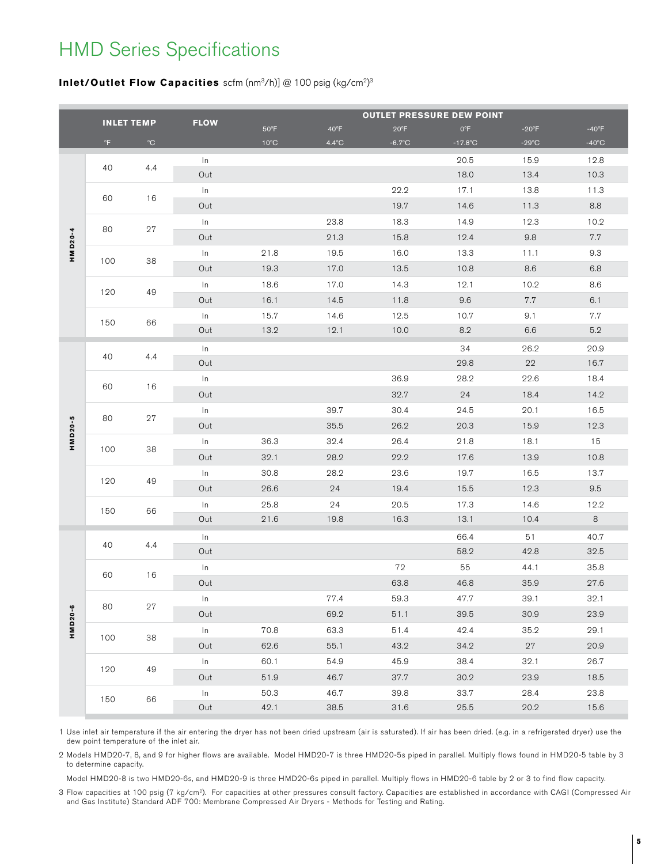## HMD Series Specifications

### **Inlet/Outlet Flow Capacities** scfm (nm3/h)] @ 100 psig (kg/cm2) 3

|         |                   |              |             |                | <b>OUTLET PRESSURE DEW POINT</b> |                  |              |                 |                 |  |  |  |  |
|---------|-------------------|--------------|-------------|----------------|----------------------------------|------------------|--------------|-----------------|-----------------|--|--|--|--|
|         | <b>INLET TEMP</b> |              | <b>FLOW</b> | $50^{\circ}$ F | $40^{\circ}F$                    | $20^{\circ}F$    | $0^{\circ}F$ | $-20^{\circ}F$  | $-40^{\circ}F$  |  |  |  |  |
|         | $^{\circ}$ F      | $^{\circ}$ C |             | $10^{\circ}$ C | $4.4^{\circ}$ C                  | $-6.7^{\circ}$ C | $-17.8$ °C   | $-29^{\circ}$ C | $-40^{\circ}$ C |  |  |  |  |
|         |                   |              | In          |                |                                  |                  | 20.5         | 15.9            | 12.8            |  |  |  |  |
|         | 40                | 4.4          | Out         |                |                                  |                  | 18.0         | 13.4            | 10.3            |  |  |  |  |
|         |                   |              | In          |                |                                  | 22.2             | 17.1         | 13.8            | 11.3            |  |  |  |  |
|         | 60                | 16           | Out         |                |                                  | 19.7             | 14.6         | 11.3            | 8.8             |  |  |  |  |
|         | 80                | 27           | In          |                | 23.8                             | 18.3             | 14.9         | 12.3            | 10.2            |  |  |  |  |
|         |                   |              | Out         |                | 21.3                             | 15.8             | 12.4         | $9.8\,$         | 7.7             |  |  |  |  |
| HMD20-4 |                   |              | In          | 21.8           | 19.5                             | 16.0             | 13.3         | 11.1            | 9.3             |  |  |  |  |
|         | 100               | 38           | Out         | 19.3           | 17.0                             | 13.5             | 10.8         | 8.6             | 6.8             |  |  |  |  |
|         |                   |              | In          | 18.6           | 17.0                             | 14.3             | 12.1         | 10.2            | 8.6             |  |  |  |  |
|         | 120               | 49           | Out         | 16.1           | 14.5                             | 11.8             | 9.6          | 7.7             | 6.1             |  |  |  |  |
|         |                   |              | In          | 15.7           | 14.6                             | 12.5             | 10.7         | 9.1             | 7.7             |  |  |  |  |
|         | 150               | 66           | Out         | 13.2           | 12.1                             | 10.0             | 8.2          | 6.6             | 5.2             |  |  |  |  |
|         |                   |              | In          |                |                                  |                  | 34           | 26.2            | 20.9            |  |  |  |  |
|         | 40                | 4.4          | Out         |                |                                  |                  | 29.8         | 22              | 16.7            |  |  |  |  |
|         | 60                | 16           | In          |                |                                  | 36.9             | 28.2         | 22.6            | 18.4            |  |  |  |  |
|         |                   |              | Out         |                |                                  | 32.7             | 24           | 18.4            | 14.2            |  |  |  |  |
|         | 80                | 27           | In          |                | 39.7                             | 30.4             | 24.5         | 20.1            | 16.5            |  |  |  |  |
| HMD20-5 |                   |              | Out         |                | 35.5                             | 26.2             | 20.3         | 15.9            | 12.3            |  |  |  |  |
|         | 100               | 38           | In          | 36.3           | 32.4                             | 26.4             | 21.8         | 18.1            | 15              |  |  |  |  |
|         |                   |              | Out         | 32.1           | 28.2                             | 22.2             | 17.6         | 13.9            | 10.8            |  |  |  |  |
|         | 120               | 49           | In          | 30.8           | 28.2                             | 23.6             | 19.7         | 16.5            | 13.7            |  |  |  |  |
|         |                   |              | Out         | 26.6           | 24                               | 19.4             | 15.5         | 12.3            | 9.5             |  |  |  |  |
|         | 150               | 66           | In          | 25.8           | 24                               | 20.5             | 17.3         | 14.6            | 12.2            |  |  |  |  |
|         |                   |              | Out         | 21.6           | 19.8                             | 16.3             | 13.1         | 10.4            | 8               |  |  |  |  |
|         |                   | 4.4          | In          |                |                                  |                  | 66.4         | 51              | 40.7            |  |  |  |  |
|         | 40                |              | Out         |                |                                  |                  | 58.2         | 42.8            | 32.5            |  |  |  |  |
|         |                   |              | In          |                |                                  | 72               | 55           | 44.1            | 35.8            |  |  |  |  |
|         | 60                | 16           | Out         |                |                                  | 63.8             | 46.8         | 35.9            | 27.6            |  |  |  |  |
|         |                   |              | $\ln$       |                | 77.4                             | 59.3             | 47.7         | 39.1            | 32.1            |  |  |  |  |
| HMD20-6 | 80                | 27           | Out         |                | 69.2                             | 51.1             | $39.5\,$     | 30.9            | 23.9            |  |  |  |  |
|         | 100               | 38           | $\ln$       | 70.8           | 63.3                             | 51.4             | 42.4         | 35.2            | 29.1            |  |  |  |  |
|         |                   |              | Out         | 62.6           | 55.1                             | 43.2             | 34.2         | 27              | 20.9            |  |  |  |  |
|         |                   |              | In          | 60.1           | 54.9                             | 45.9             | 38.4         | 32.1            | 26.7            |  |  |  |  |
|         | 120               | 49           | Out         | 51.9           | 46.7                             | 37.7             | $30.2\,$     | 23.9            | 18.5            |  |  |  |  |
|         | 150               | 66           | $\ln$       | $50.3\,$       | 46.7                             | 39.8             | 33.7         | 28.4            | 23.8            |  |  |  |  |
|         |                   |              | Out         | 42.1           | $38.5\,$                         | $31.6$           | $25.5\,$     | 20.2            | 15.6            |  |  |  |  |

1 Use inlet air temperature if the air entering the dryer has not been dried upstream (air is saturated). If air has been dried. (e.g. in a refrigerated dryer) use the dew point temperature of the inlet air.

2 Models HMD20-7, 8, and 9 for higher flows are available. Model HMD20-7 is three HMD20-5s piped in parallel. Multiply flows found in HMD20-5 table by 3 to determine capacity.

Model HMD20-8 is two HMD20-6s, and HMD20-9 is three HMD20-6s piped in parallel. Multiply flows in HMD20-6 table by 2 or 3 to find flow capacity.

3 Flow capacities at 100 psig (7 kg/cm2). For capacities at other pressures consult factory. Capacities are established in accordance with CAGI (Compressed Air and Gas Institute) Standard ADF 700: Membrane Compressed Air Dryers - Methods for Testing and Rating.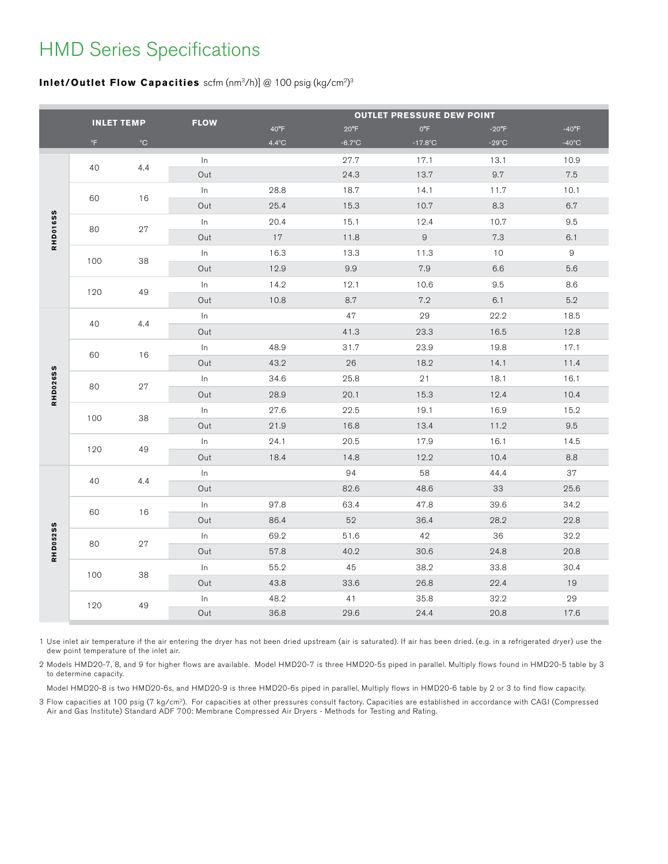# HMD Series Specifications

### **Inlet/Outlet Flow Capacities** scfm (nm3/h)] @ 100 psig (kg/cm2) 3

|                 |              | <b>INLET TEMP</b> | <b>FLOW</b> | <b>OUTLET PRESSURE DEW POINT</b> |                  |              |                 |                 |  |  |  |
|-----------------|--------------|-------------------|-------------|----------------------------------|------------------|--------------|-----------------|-----------------|--|--|--|
|                 |              |                   |             | 40°F                             | $20^{\circ}F$    | $0^{\circ}F$ | $-20^{\circ}F$  | $-40^{\circ}F$  |  |  |  |
|                 | $^{\circ}$ F | $^{\circ}$ C      |             | $4.4^{\circ}$ C                  | $-6.7^{\circ}$ C | $-17.8$ °C   | $-29^{\circ}$ C | $-40^{\circ}$ C |  |  |  |
|                 | 40           | 4.4               | $\ln$       |                                  | 27.7             | 17.1         | 13.1            | 10.9            |  |  |  |
|                 |              |                   | Out         |                                  | 24.3             | 13.7         | 9.7             | 7.5             |  |  |  |
|                 | 60           | 16                | ln          | 28.8                             | 18.7             | 14.1         | 11.7            | 10.1            |  |  |  |
|                 |              |                   | Out         | 25.4                             | 15.3             | 10.7         | 8.3             | 6.7             |  |  |  |
|                 | 80           | 27                | $\ln$       | 20.4                             | 15.1             | 12.4         | 10.7            | 9.5             |  |  |  |
| <b>RHD016SS</b> |              |                   | Out         | 17                               | 11.8             | $\hbox{9}$   | $7.3\,$         | 6.1             |  |  |  |
|                 | 100          | 38                | ln          | 16.3                             | 13.3             | 11.3         | 10              | $\mathsf g$     |  |  |  |
|                 |              |                   | Out         | 12.9                             | $9.9\,$          | 7.9          | 6.6             | 5.6             |  |  |  |
|                 | 120          | 49                | $\ln$       | 14.2                             | 12.1             | 10.6         | 9.5             | 8.6             |  |  |  |
|                 |              |                   | Out         | 10.8                             | 8.7              | $7.2\,$      | 6.1             | $5.2\,$         |  |  |  |
|                 | 40           | 4.4               | $\ln$       |                                  | 47               | 29           | 22.2            | 18.5            |  |  |  |
|                 |              |                   | Out         |                                  | 41.3             | 23.3         | 16.5            | 12.8            |  |  |  |
|                 | 60           | 16                | $\ln$       | 48.9                             | 31.7             | 23.9         | 19.8            | 17.1            |  |  |  |
|                 |              |                   | Out         | 43.2                             | 26               | 18.2         | 14.1            | 11.4            |  |  |  |
|                 | 80           |                   | ln          | 34.6                             | 25.8             | 21           | 18.1            | 16.1            |  |  |  |
| <b>RHD026SS</b> |              | 27                | Out         | 28.9                             | 20.1             | 15.3         | 12.4            | 10.4            |  |  |  |
|                 | 100          |                   | ln          | 27.6                             | 22.5             | 19.1         | 16.9            | 15.2            |  |  |  |
|                 |              | 38                | Out         | 21.9                             | 16.8             | 13.4         | 11.2            | $9.5\,$         |  |  |  |
|                 | 120          |                   | In          | 24.1                             | 20.5             | 17.9         | 16.1            | 14.5            |  |  |  |
|                 |              | 49                | Out         | 18.4                             | 14.8             | 12.2         | 10.4            | 8.8             |  |  |  |
|                 |              |                   | $\ln$       |                                  | 94               | 58           | 44.4            | 37              |  |  |  |
|                 | 40           | 4.4               | Out         |                                  | 82.6             | 48.6         | 33              | 25.6            |  |  |  |
|                 |              |                   | ln          | 97.8                             | 63.4             | 47.8         | 39.6            | 34.2            |  |  |  |
|                 | 60           | 16                | Out         | 86.4                             | 52               | 36.4         | 28.2            | 22.8            |  |  |  |
|                 |              | $27\,$            | $\ln$       | 69.2                             | 51.6             | 42           | 36              | 32.2            |  |  |  |
| <b>RHD052SS</b> | 80           |                   | Out         | 57.8                             | 40.2             | 30.6         | 24.8            | 20.8            |  |  |  |
|                 |              |                   | ln          | 55.2                             | 45               | 38.2         | 33.8            | 30.4            |  |  |  |
|                 | 100          | 38                | Out         | 43.8                             | 33.6             | 26.8         | 22.4            | 19              |  |  |  |
|                 |              |                   | $\ln$       | 48.2                             | 41               | 35.8         | 32.2            | 29              |  |  |  |
|                 | 120          | 49                | Out         | 36.8                             | 29.6             | 24.4         | 20.8            | 17.6            |  |  |  |
|                 |              |                   |             |                                  |                  |              |                 |                 |  |  |  |

1 Use inlet air temperature if the air entering the dryer has not been dried upstream (air is saturated). If air has been dried. (e.g. in a refrigerated dryer) use the dew point temperature of the inlet air.

2 Models HMD20-7, 8, and 9 for higher flows are available. Model HMD20-7 is three HMD20-5s piped in parallel. Multiply flows found in HMD20-5 table by 3 to determine capacity.

Model HMD20-8 is two HMD20-6s, and HMD20-9 is three HMD20-6s piped in parallel. Multiply flows in HMD20-6 table by 2 or 3 to find flow capacity.

3 Flow capacities at 100 psig (7 kg/cm2). For capacities at other pressures consult factory. Capacities are established in accordance with CAGI (Compressed Air and Gas Institute) Standard ADF 700: Membrane Compressed Air Dryers - Methods for Testing and Rating.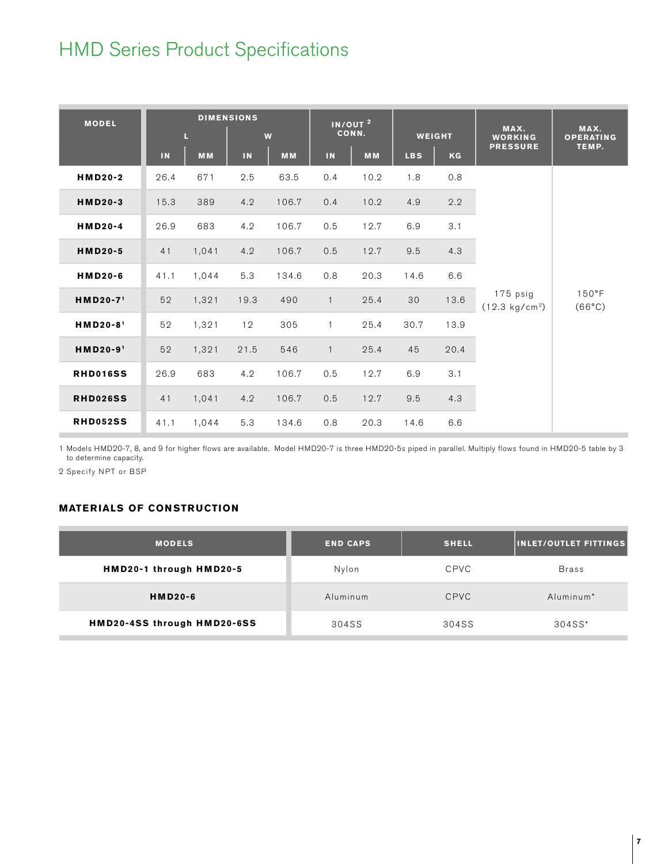# HMD Series Product Specifications

| <b>MODEL</b>         | <b>DIMENSIONS</b><br>L<br>W |           | $\overline{IN/OUT}^2$<br>CONN. |           | <b>WEIGHT</b>            |           | MAX.<br><b>WORKING</b> | MAX.<br><b>OPERATING</b> |                                      |                                    |
|----------------------|-----------------------------|-----------|--------------------------------|-----------|--------------------------|-----------|------------------------|--------------------------|--------------------------------------|------------------------------------|
|                      | IN                          | <b>MM</b> | IN                             | <b>MM</b> | $\overline{\mathsf{IN}}$ | <b>MM</b> | <b>LBS</b>             | KG                       | <b>PRESSURE</b>                      | TEMP.                              |
| HMD20-2              | 26.4                        | 671       | 2.5                            | 63.5      | 0.4                      | 10.2      | 1.8                    | 0.8                      |                                      | $150^{\circ}$ F<br>$(66^{\circ}C)$ |
| <b>HMD20-3</b>       | 15.3                        | 389       | 4.2                            | 106.7     | 0.4                      | 10.2      | 4.9                    | 2.2                      |                                      |                                    |
| HMD20-4              | 26.9                        | 683       | 4.2                            | 106.7     | 0.5                      | 12.7      | 6.9                    | 3.1                      |                                      |                                    |
| <b>HMD20-5</b>       | 41                          | 1,041     | 4.2                            | 106.7     | $0.5\,$                  | 12.7      | 9.5                    | 4.3                      |                                      |                                    |
| HMD20-6              | 41.1                        | 1,044     | 5.3                            | 134.6     | 0.8                      | 20.3      | 14.6                   | 6.6                      |                                      |                                    |
| HMD20-71             | 52                          | 1,321     | 19.3                           | 490       | $\overline{1}$           | 25.4      | 30                     | 13.6                     | 175 psig<br>$(12.3 \text{ kg/cm}^2)$ |                                    |
| HMD20-8 <sup>1</sup> | 52                          | 1,321     | 12                             | 305       | $\overline{1}$           | 25.4      | 30.7                   | 13.9                     |                                      |                                    |
| HMD20-91             | 52                          | 1,321     | 21.5                           | 546       | $\overline{1}$           | 25.4      | 45                     | 20.4                     |                                      |                                    |
| <b>RHD016SS</b>      | 26.9                        | 683       | 4.2                            | 106.7     | 0.5                      | 12.7      | 6.9                    | 3.1                      |                                      |                                    |
| <b>RHD026SS</b>      | 41                          | 1,041     | 4.2                            | 106.7     | 0.5                      | 12.7      | 9.5                    | 4.3                      |                                      |                                    |
| <b>RHD052SS</b>      | 41.1                        | 1,044     | 5.3                            | 134.6     | 0.8                      | 20.3      | 14.6                   | 6.6                      |                                      |                                    |

1 Models HMD20-7, 8, and 9 for higher flows are available. Model HMD20-7 is three HMD20-5s piped in parallel. Multiply flows found in HMD20-5 table by 3 to determine capacity.

2 Specify NPT or BSP

### **MATERIALS OF CONSTRUCTION**

| <b>MODELS</b>               | <b>END CAPS</b> | <b>SHELL</b> | <b>INLET/OUTLET FITTINGS</b> |  |
|-----------------------------|-----------------|--------------|------------------------------|--|
| HMD20-1 through HMD20-5     | Nylon           | <b>CPVC</b>  | <b>Brass</b>                 |  |
| <b>HMD20-6</b>              | Aluminum        | <b>CPVC</b>  | Aluminum <sup>*</sup>        |  |
| HMD20-4SS through HMD20-6SS | 304SS           | 304SS        | 304SS*                       |  |